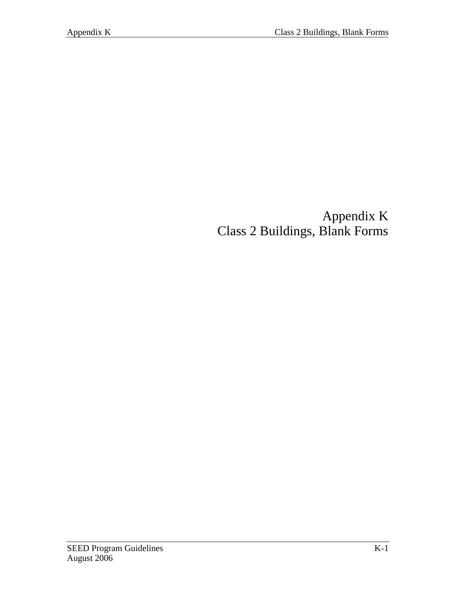## Appendix K Class 2 Buildings, Blank Forms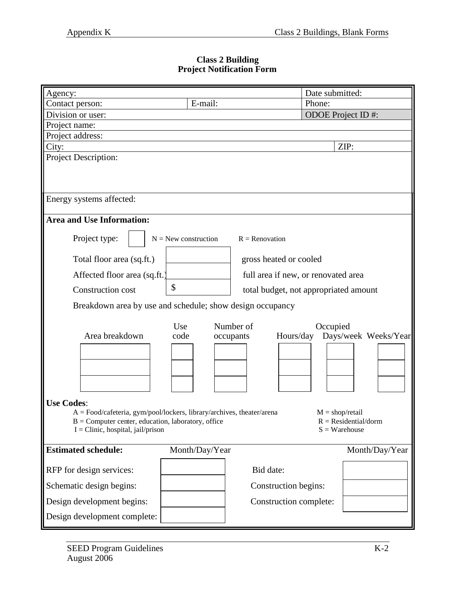## **Class 2 Building Project Notification Form**

| Agency:                                                               |                        |                        | Date submitted:                       |  |
|-----------------------------------------------------------------------|------------------------|------------------------|---------------------------------------|--|
| Contact person:                                                       | E-mail:                |                        | Phone:                                |  |
| Division or user:                                                     |                        |                        | ODOE Project ID#:                     |  |
| Project name:                                                         |                        |                        |                                       |  |
| Project address:                                                      |                        |                        |                                       |  |
| City:                                                                 |                        |                        | ZIP:                                  |  |
| <b>Project Description:</b>                                           |                        |                        |                                       |  |
|                                                                       |                        |                        |                                       |  |
|                                                                       |                        |                        |                                       |  |
| Energy systems affected:                                              |                        |                        |                                       |  |
|                                                                       |                        |                        |                                       |  |
| <b>Area and Use Information:</b>                                      |                        |                        |                                       |  |
|                                                                       |                        |                        |                                       |  |
| Project type:                                                         | $N =$ New construction | $R =$ Renovation       |                                       |  |
| Total floor area (sq.ft.)                                             |                        | gross heated or cooled |                                       |  |
| Affected floor area (sq.ft.)                                          |                        |                        | full area if new, or renovated area   |  |
|                                                                       | \$                     |                        |                                       |  |
| <b>Construction cost</b>                                              |                        |                        | total budget, not appropriated amount |  |
| Breakdown area by use and schedule; show design occupancy             |                        |                        |                                       |  |
|                                                                       |                        |                        |                                       |  |
|                                                                       | Use                    | Number of              | Occupied                              |  |
| Area breakdown                                                        | code                   | Hours/day<br>occupants | Days/week Weeks/Year                  |  |
|                                                                       |                        |                        |                                       |  |
|                                                                       |                        |                        |                                       |  |
|                                                                       |                        |                        |                                       |  |
|                                                                       |                        |                        |                                       |  |
| <b>Use Codes:</b>                                                     |                        |                        |                                       |  |
| A = Food/cafeteria, gym/pool/lockers, library/archives, theater/arena |                        |                        | $M = shop/retail$                     |  |
| $B =$ Computer center, education, laboratory, office                  |                        |                        | $R = Residential/dorm$                |  |
| $I =$ Clinic, hospital, jail/prison                                   |                        |                        | $S = W$ arehouse                      |  |
| <b>Estimated schedule:</b>                                            | Month/Day/Year         |                        | Month/Day/Year                        |  |
|                                                                       |                        |                        |                                       |  |
| RFP for design services:                                              |                        | Bid date:              |                                       |  |
| Schematic design begins:                                              |                        | Construction begins:   |                                       |  |
| Design development begins:                                            |                        | Construction complete: |                                       |  |
| Design development complete:                                          |                        |                        |                                       |  |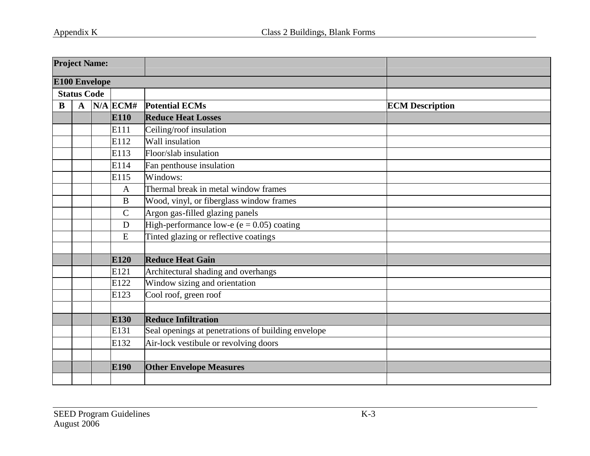| <b>Project Name:</b> |                            |                      |                       |                                                    |                        |
|----------------------|----------------------------|----------------------|-----------------------|----------------------------------------------------|------------------------|
|                      |                            | <b>E100 Envelope</b> |                       |                                                    |                        |
| <b>Status Code</b>   |                            |                      |                       |                                                    |                        |
| B                    | $N/A$ ECM#<br>$\mathbf{A}$ |                      |                       | <b>Potential ECMs</b>                              | <b>ECM Description</b> |
|                      |                            |                      | <b>E110</b>           | <b>Reduce Heat Losses</b>                          |                        |
|                      |                            |                      | E111                  | Ceiling/roof insulation                            |                        |
|                      |                            |                      | E112                  | Wall insulation                                    |                        |
| E113                 |                            |                      | Floor/slab insulation |                                                    |                        |
|                      |                            |                      | E114                  | Fan penthouse insulation                           |                        |
| E115                 |                            |                      | Windows:              |                                                    |                        |
|                      | $\mathbf{A}$               |                      |                       | Thermal break in metal window frames               |                        |
|                      | $\bf{B}$                   |                      |                       | Wood, vinyl, or fiberglass window frames           |                        |
|                      | $\mathcal{C}$              |                      |                       | Argon gas-filled glazing panels                    |                        |
|                      |                            |                      | $\mathbf D$           | High-performance low-e ( $e = 0.05$ ) coating      |                        |
|                      |                            |                      | E                     | Tinted glazing or reflective coatings              |                        |
|                      |                            |                      | E120                  | <b>Reduce Heat Gain</b>                            |                        |
|                      |                            |                      | E121                  | Architectural shading and overhangs                |                        |
|                      |                            |                      | E122                  | Window sizing and orientation                      |                        |
|                      |                            |                      | E123                  | Cool roof, green roof                              |                        |
|                      |                            |                      |                       |                                                    |                        |
|                      |                            |                      | E130                  | <b>Reduce Infiltration</b>                         |                        |
|                      |                            |                      | E131                  | Seal openings at penetrations of building envelope |                        |
|                      |                            |                      | E132                  | Air-lock vestibule or revolving doors              |                        |
|                      |                            |                      |                       |                                                    |                        |
|                      |                            |                      | E190                  | <b>Other Envelope Measures</b>                     |                        |
|                      |                            |                      |                       |                                                    |                        |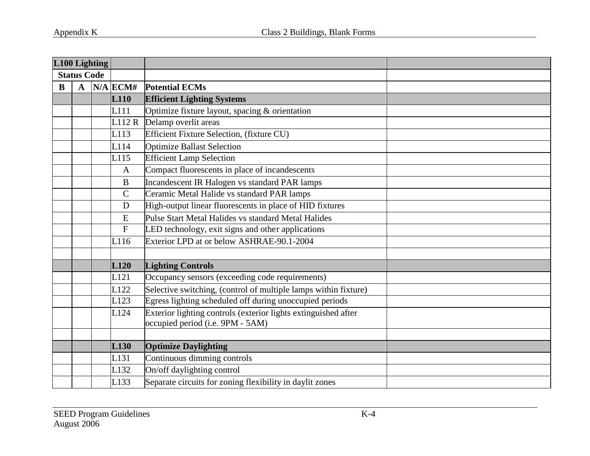| L100 Lighting      |                  |  |              |                                                                                                    |  |
|--------------------|------------------|--|--------------|----------------------------------------------------------------------------------------------------|--|
| <b>Status Code</b> |                  |  |              |                                                                                                    |  |
| B                  | $\mathbf{A}$     |  | $N/A$ ECM#   | <b>Potential ECMs</b>                                                                              |  |
|                    | L <sub>110</sub> |  |              | <b>Efficient Lighting Systems</b>                                                                  |  |
|                    |                  |  | L111         | Optimize fixture layout, spacing & orientation                                                     |  |
|                    |                  |  | L112R        | Delamp overlit areas                                                                               |  |
|                    |                  |  | L113         | Efficient Fixture Selection, (fixture CU)                                                          |  |
|                    |                  |  | L114         | <b>Optimize Ballast Selection</b>                                                                  |  |
|                    |                  |  | L115         | <b>Efficient Lamp Selection</b>                                                                    |  |
|                    |                  |  | $\mathbf{A}$ | Compact fluorescents in place of incandescents                                                     |  |
|                    |                  |  | $\bf{B}$     | Incandescent IR Halogen vs standard PAR lamps                                                      |  |
|                    |                  |  | $\mathsf{C}$ | Ceramic Metal Halide vs standard PAR lamps                                                         |  |
|                    |                  |  | $\mathbf D$  | High-output linear fluorescents in place of HID fixtures                                           |  |
|                    |                  |  | ${\bf E}$    | Pulse Start Metal Halides vs standard Metal Halides                                                |  |
|                    |                  |  | ${\bf F}$    | LED technology, exit signs and other applications                                                  |  |
|                    |                  |  | L116         | Exterior LPD at or below ASHRAE-90.1-2004                                                          |  |
|                    |                  |  |              |                                                                                                    |  |
|                    |                  |  | L120         | <b>Lighting Controls</b>                                                                           |  |
|                    |                  |  | L121         | Occupancy sensors (exceeding code requirements)                                                    |  |
|                    |                  |  | L122         | Selective switching, (control of multiple lamps within fixture)                                    |  |
|                    |                  |  | L123         | Egress lighting scheduled off during unoccupied periods                                            |  |
|                    |                  |  | L124         | Exterior lighting controls (exterior lights extinguished after<br>occupied period (i.e. 9PM - 5AM) |  |
|                    |                  |  |              |                                                                                                    |  |
|                    |                  |  | L130         | <b>Optimize Daylighting</b>                                                                        |  |
|                    |                  |  | L131         | Continuous dimming controls                                                                        |  |
|                    |                  |  | L132         | On/off daylighting control                                                                         |  |
|                    |                  |  | L133         | Separate circuits for zoning flexibility in daylit zones                                           |  |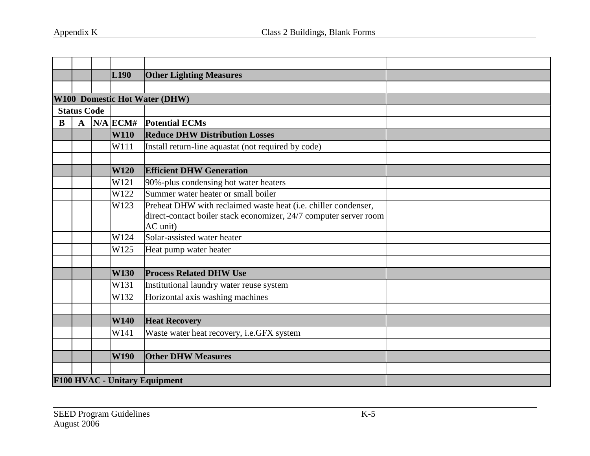|   |                                                                        |  | L <sub>190</sub> | <b>Other Lighting Measures</b>                                                |  |
|---|------------------------------------------------------------------------|--|------------------|-------------------------------------------------------------------------------|--|
|   |                                                                        |  |                  |                                                                               |  |
|   |                                                                        |  |                  | W100 Domestic Hot Water (DHW)                                                 |  |
|   | <b>Status Code</b>                                                     |  |                  |                                                                               |  |
| B | $\mathbf A$                                                            |  | $N/A$ ECM#       | <b>Potential ECMs</b>                                                         |  |
|   |                                                                        |  | <b>W110</b>      | <b>Reduce DHW Distribution Losses</b>                                         |  |
|   |                                                                        |  | W111             | Install return-line aquastat (not required by code)                           |  |
|   |                                                                        |  |                  |                                                                               |  |
|   |                                                                        |  | <b>W120</b>      | <b>Efficient DHW Generation</b>                                               |  |
|   |                                                                        |  | W121             | 90%-plus condensing hot water heaters                                         |  |
|   |                                                                        |  | W122             | Summer water heater or small boiler                                           |  |
|   | Preheat DHW with reclaimed waste heat (i.e. chiller condenser,<br>W123 |  |                  |                                                                               |  |
|   |                                                                        |  |                  | direct-contact boiler stack economizer, 24/7 computer server room<br>AC unit) |  |
|   |                                                                        |  | W124             | Solar-assisted water heater                                                   |  |
|   |                                                                        |  | W125             | Heat pump water heater                                                        |  |
|   |                                                                        |  |                  |                                                                               |  |
|   |                                                                        |  | <b>W130</b>      | <b>Process Related DHW Use</b>                                                |  |
|   |                                                                        |  | W131             | Institutional laundry water reuse system                                      |  |
|   |                                                                        |  | W132             | Horizontal axis washing machines                                              |  |
|   |                                                                        |  |                  |                                                                               |  |
|   |                                                                        |  | <b>W140</b>      | <b>Heat Recovery</b>                                                          |  |
|   |                                                                        |  | W141             | Waste water heat recovery, i.e.GFX system                                     |  |
|   |                                                                        |  |                  |                                                                               |  |
|   |                                                                        |  | <b>W190</b>      | <b>Other DHW Measures</b>                                                     |  |
|   |                                                                        |  |                  |                                                                               |  |
|   |                                                                        |  |                  | F100 HVAC - Unitary Equipment                                                 |  |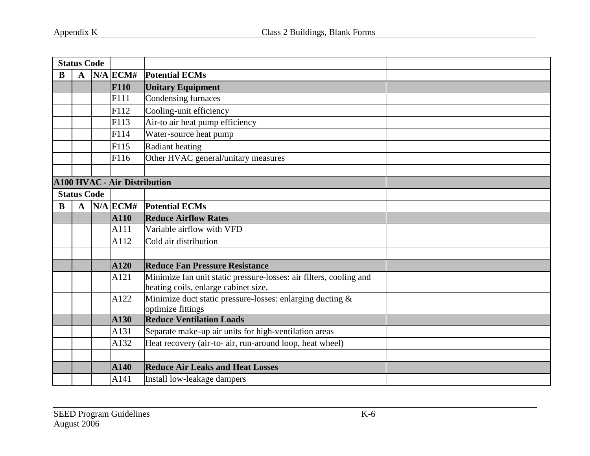| <b>Status Code</b> |                                                                            |                                     |                                      |                                                                                   |  |
|--------------------|----------------------------------------------------------------------------|-------------------------------------|--------------------------------------|-----------------------------------------------------------------------------------|--|
| B<br>$\mathbf A$   |                                                                            | $N/A$ ECM#                          | <b>Potential ECMs</b>                |                                                                                   |  |
|                    |                                                                            |                                     | <b>F110</b>                          | <b>Unitary Equipment</b>                                                          |  |
|                    |                                                                            |                                     | F111                                 | Condensing furnaces                                                               |  |
|                    |                                                                            |                                     | F112                                 | Cooling-unit efficiency                                                           |  |
|                    |                                                                            |                                     | F113                                 | Air-to air heat pump efficiency                                                   |  |
|                    |                                                                            |                                     | F114                                 | Water-source heat pump                                                            |  |
|                    |                                                                            |                                     | F115                                 | Radiant heating                                                                   |  |
|                    |                                                                            |                                     | F116                                 | Other HVAC general/unitary measures                                               |  |
|                    |                                                                            |                                     |                                      |                                                                                   |  |
|                    | <b>A100 HVAC - Air Distribution</b>                                        |                                     |                                      |                                                                                   |  |
|                    | <b>Status Code</b>                                                         |                                     |                                      |                                                                                   |  |
| B                  | $\mathbf{A}$                                                               | $N/A$ ECM#<br><b>Potential ECMs</b> |                                      |                                                                                   |  |
|                    |                                                                            |                                     | A110                                 | <b>Reduce Airflow Rates</b>                                                       |  |
|                    |                                                                            |                                     | A111                                 | Variable airflow with VFD                                                         |  |
|                    |                                                                            |                                     | A112                                 | Cold air distribution                                                             |  |
|                    |                                                                            |                                     |                                      |                                                                                   |  |
|                    |                                                                            |                                     | A120                                 | <b>Reduce Fan Pressure Resistance</b>                                             |  |
|                    | Minimize fan unit static pressure-losses: air filters, cooling and<br>A121 |                                     | heating coils, enlarge cabinet size. |                                                                                   |  |
|                    |                                                                            |                                     | A122                                 | Minimize duct static pressure-losses: enlarging ducting $\&$<br>optimize fittings |  |
|                    |                                                                            |                                     | A130                                 | <b>Reduce Ventilation Loads</b>                                                   |  |
|                    |                                                                            |                                     | A131                                 | Separate make-up air units for high-ventilation areas                             |  |
|                    |                                                                            |                                     | A132                                 | Heat recovery (air-to- air, run-around loop, heat wheel)                          |  |
|                    |                                                                            |                                     |                                      |                                                                                   |  |
|                    |                                                                            |                                     | A140                                 | <b>Reduce Air Leaks and Heat Losses</b>                                           |  |
|                    | Install low-leakage dampers<br>A141                                        |                                     |                                      |                                                                                   |  |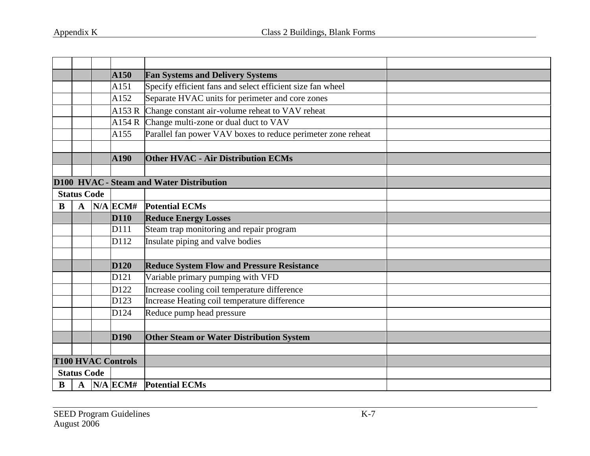|   | <b>Fan Systems and Delivery Systems</b><br><b>A150</b> |  |                                          |                                                              |  |
|---|--------------------------------------------------------|--|------------------------------------------|--------------------------------------------------------------|--|
|   | A151                                                   |  |                                          | Specify efficient fans and select efficient size fan wheel   |  |
|   |                                                        |  | A152                                     | Separate HVAC units for perimeter and core zones             |  |
|   |                                                        |  | A153R                                    | Change constant air-volume reheat to VAV reheat              |  |
|   |                                                        |  |                                          | A154 R Change multi-zone or dual duct to VAV                 |  |
|   |                                                        |  | A155                                     | Parallel fan power VAV boxes to reduce perimeter zone reheat |  |
|   |                                                        |  |                                          |                                                              |  |
|   |                                                        |  | <b>A190</b>                              | <b>Other HVAC - Air Distribution ECMs</b>                    |  |
|   |                                                        |  |                                          |                                                              |  |
|   |                                                        |  | D100 HVAC - Steam and Water Distribution |                                                              |  |
|   | <b>Status Code</b>                                     |  |                                          |                                                              |  |
| B | $\mathbf{A}$                                           |  | $N/A$ ECM#                               | <b>Potential ECMs</b>                                        |  |
|   |                                                        |  | <b>D110</b>                              | <b>Reduce Energy Losses</b>                                  |  |
|   |                                                        |  | D111                                     | Steam trap monitoring and repair program                     |  |
|   |                                                        |  | D112                                     | Insulate piping and valve bodies                             |  |
|   |                                                        |  |                                          |                                                              |  |
|   |                                                        |  | <b>D120</b>                              | <b>Reduce System Flow and Pressure Resistance</b>            |  |
|   |                                                        |  | D121                                     | Variable primary pumping with VFD                            |  |
|   |                                                        |  | D122                                     | Increase cooling coil temperature difference                 |  |
|   |                                                        |  | D123                                     | Increase Heating coil temperature difference                 |  |
|   |                                                        |  | D124                                     | Reduce pump head pressure                                    |  |
|   |                                                        |  |                                          |                                                              |  |
|   |                                                        |  | <b>D190</b>                              | Other Steam or Water Distribution System                     |  |
|   |                                                        |  |                                          |                                                              |  |
|   |                                                        |  | <b>T100 HVAC Controls</b>                |                                                              |  |
|   | <b>Status Code</b>                                     |  |                                          |                                                              |  |
| B |                                                        |  |                                          | A  N/A  ECM#  Potential ECMs                                 |  |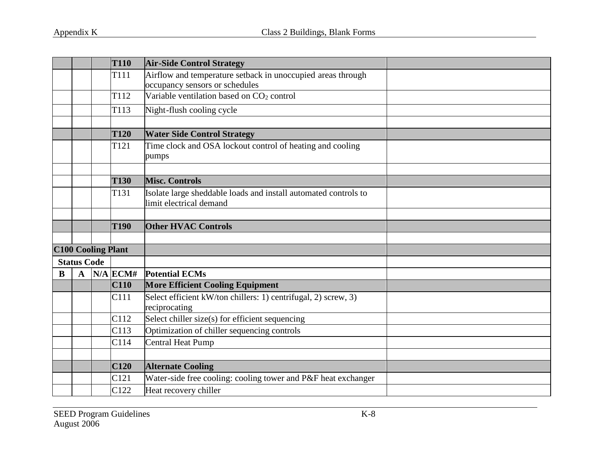| <b>T110</b>               |                                           |                           | <b>Air-Side Control Strategy</b>                          |                                                                                               |  |
|---------------------------|-------------------------------------------|---------------------------|-----------------------------------------------------------|-----------------------------------------------------------------------------------------------|--|
|                           |                                           |                           | T111                                                      | Airflow and temperature setback in unoccupied areas through<br>occupancy sensors or schedules |  |
| T <sub>112</sub>          |                                           |                           | Variable ventilation based on CO <sub>2</sub> control     |                                                                                               |  |
|                           |                                           |                           | T113                                                      | Night-flush cooling cycle                                                                     |  |
|                           |                                           |                           |                                                           |                                                                                               |  |
|                           |                                           |                           | <b>T120</b>                                               | <b>Water Side Control Strategy</b>                                                            |  |
| T <sub>121</sub><br>pumps |                                           |                           | Time clock and OSA lockout control of heating and cooling |                                                                                               |  |
|                           |                                           |                           |                                                           |                                                                                               |  |
|                           |                                           |                           | <b>T130</b>                                               | <b>Misc. Controls</b>                                                                         |  |
|                           | T131                                      |                           |                                                           | Isolate large sheddable loads and install automated controls to<br>limit electrical demand    |  |
|                           |                                           |                           |                                                           |                                                                                               |  |
|                           | <b>Other HVAC Controls</b><br><b>T190</b> |                           |                                                           |                                                                                               |  |
|                           |                                           |                           |                                                           |                                                                                               |  |
|                           |                                           | <b>C100 Cooling Plant</b> |                                                           |                                                                                               |  |
|                           | <b>Status Code</b>                        |                           |                                                           |                                                                                               |  |
| $\bf{B}$                  | $\mathbf A$                               |                           | $N/A$ ECM#                                                | <b>Potential ECMs</b>                                                                         |  |
|                           |                                           |                           | <b>C110</b>                                               | <b>More Efficient Cooling Equipment</b>                                                       |  |
|                           |                                           |                           | C111                                                      | Select efficient kW/ton chillers: 1) centrifugal, 2) screw, 3)<br>reciprocating               |  |
|                           |                                           |                           | C112                                                      | Select chiller size(s) for efficient sequencing                                               |  |
|                           |                                           |                           | C113                                                      | Optimization of chiller sequencing controls                                                   |  |
| Central Heat Pump<br>C114 |                                           |                           |                                                           |                                                                                               |  |
|                           |                                           |                           |                                                           |                                                                                               |  |
|                           |                                           |                           | C120                                                      | <b>Alternate Cooling</b>                                                                      |  |
|                           |                                           |                           | C121                                                      | Water-side free cooling: cooling tower and P&F heat exchanger                                 |  |
|                           |                                           |                           | C122                                                      | Heat recovery chiller                                                                         |  |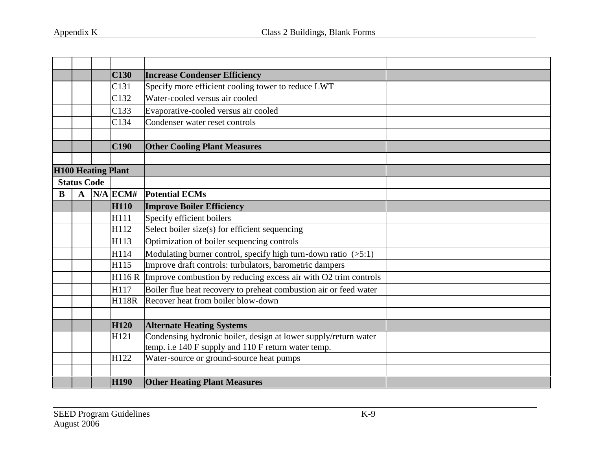|                    |                                                            |  | <b>C130</b>               | <b>Increase Condenser Efficiency</b>                              |  |
|--------------------|------------------------------------------------------------|--|---------------------------|-------------------------------------------------------------------|--|
|                    | Specify more efficient cooling tower to reduce LWT<br>C131 |  |                           |                                                                   |  |
|                    | Water-cooled versus air cooled<br>C132                     |  |                           |                                                                   |  |
|                    |                                                            |  | C133                      | Evaporative-cooled versus air cooled                              |  |
|                    |                                                            |  | C134                      | Condenser water reset controls                                    |  |
|                    |                                                            |  |                           |                                                                   |  |
|                    |                                                            |  | C190                      | <b>Other Cooling Plant Measures</b>                               |  |
|                    |                                                            |  |                           |                                                                   |  |
|                    |                                                            |  | <b>H100 Heating Plant</b> |                                                                   |  |
| <b>Status Code</b> |                                                            |  |                           |                                                                   |  |
| B                  | $\mathbf A$                                                |  | $N/A$ ECM#                | <b>Potential ECMs</b>                                             |  |
|                    |                                                            |  | <b>H110</b>               | <b>Improve Boiler Efficiency</b>                                  |  |
|                    |                                                            |  | H111                      | Specify efficient boilers                                         |  |
|                    |                                                            |  | H112                      | Select boiler size(s) for efficient sequencing                    |  |
|                    |                                                            |  | H113                      | Optimization of boiler sequencing controls                        |  |
|                    |                                                            |  | H114                      | Modulating burner control, specify high turn-down ratio $(5:1)$   |  |
|                    |                                                            |  | H115                      | Improve draft controls: turbulators, barometric dampers           |  |
|                    |                                                            |  | H116R                     | Improve combustion by reducing excess air with O2 trim controls   |  |
|                    |                                                            |  | H117                      | Boiler flue heat recovery to preheat combustion air or feed water |  |
|                    |                                                            |  | <b>H118R</b>              | Recover heat from boiler blow-down                                |  |
|                    |                                                            |  |                           |                                                                   |  |
|                    |                                                            |  | <b>H120</b>               | <b>Alternate Heating Systems</b>                                  |  |
|                    |                                                            |  | H121                      | Condensing hydronic boiler, design at lower supply/return water   |  |
|                    |                                                            |  |                           | temp. i.e 140 F supply and 110 F return water temp.               |  |
|                    |                                                            |  | H122                      | Water-source or ground-source heat pumps                          |  |
|                    |                                                            |  |                           |                                                                   |  |
|                    |                                                            |  | <b>H190</b>               | <b>Other Heating Plant Measures</b>                               |  |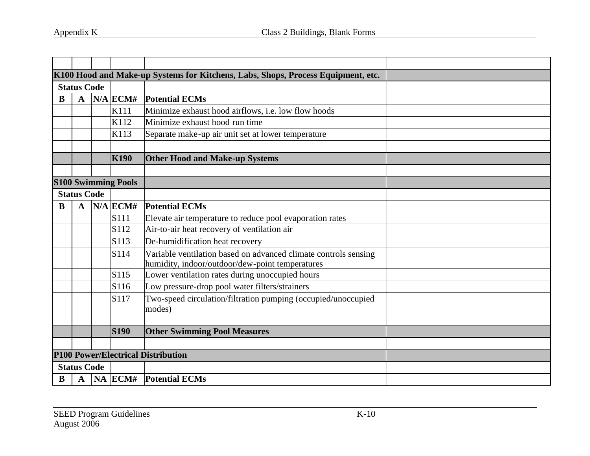|                                 |                                                             |  |                                        | K100 Hood and Make-up Systems for Kitchens, Labs, Shops, Process Equipment, etc.                                   |  |
|---------------------------------|-------------------------------------------------------------|--|----------------------------------------|--------------------------------------------------------------------------------------------------------------------|--|
| <b>Status Code</b>              |                                                             |  |                                        |                                                                                                                    |  |
| $N/A$ ECM#<br>B<br>$\mathbf{A}$ |                                                             |  | <b>Potential ECMs</b>                  |                                                                                                                    |  |
|                                 | Minimize exhaust hood airflows, i.e. low flow hoods<br>K111 |  |                                        |                                                                                                                    |  |
|                                 |                                                             |  | K112<br>Minimize exhaust hood run time |                                                                                                                    |  |
|                                 |                                                             |  | K113                                   | Separate make-up air unit set at lower temperature                                                                 |  |
|                                 |                                                             |  |                                        |                                                                                                                    |  |
|                                 |                                                             |  | <b>K190</b>                            | <b>Other Hood and Make-up Systems</b>                                                                              |  |
|                                 |                                                             |  |                                        |                                                                                                                    |  |
| <b>S100 Swimming Pools</b>      |                                                             |  |                                        |                                                                                                                    |  |
|                                 | <b>Status Code</b>                                          |  |                                        |                                                                                                                    |  |
| B                               | $\mathbf A$                                                 |  | $N/A$ ECM#                             | <b>Potential ECMs</b>                                                                                              |  |
|                                 |                                                             |  | S111                                   | Elevate air temperature to reduce pool evaporation rates                                                           |  |
|                                 |                                                             |  | S112                                   | Air-to-air heat recovery of ventilation air                                                                        |  |
|                                 |                                                             |  | S113                                   | De-humidification heat recovery                                                                                    |  |
|                                 |                                                             |  | S114                                   | Variable ventilation based on advanced climate controls sensing<br>humidity, indoor/outdoor/dew-point temperatures |  |
|                                 |                                                             |  | S115                                   | Lower ventilation rates during unoccupied hours                                                                    |  |
|                                 |                                                             |  | S116                                   | Low pressure-drop pool water filters/strainers                                                                     |  |
|                                 | S117                                                        |  |                                        | Two-speed circulation/filtration pumping (occupied/unoccupied<br>modes)                                            |  |
|                                 |                                                             |  |                                        |                                                                                                                    |  |
|                                 |                                                             |  | <b>S190</b>                            | <b>Other Swimming Pool Measures</b>                                                                                |  |
|                                 |                                                             |  |                                        |                                                                                                                    |  |
|                                 |                                                             |  |                                        | <b>P100 Power/Electrical Distribution</b>                                                                          |  |
|                                 | <b>Status Code</b>                                          |  |                                        |                                                                                                                    |  |
| $\mathbf{A}$<br>B               |                                                             |  | NA ECM# Potential ECMs                 |                                                                                                                    |  |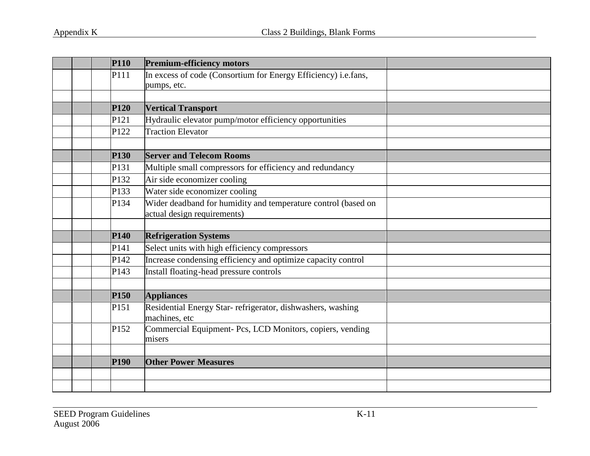| <b>P110</b> | <b>Premium-efficiency motors</b>                                                             |  |
|-------------|----------------------------------------------------------------------------------------------|--|
| P111        | In excess of code (Consortium for Energy Efficiency) i.e.fans,                               |  |
|             | pumps, etc.                                                                                  |  |
|             |                                                                                              |  |
| <b>P120</b> | <b>Vertical Transport</b>                                                                    |  |
| P121        | Hydraulic elevator pump/motor efficiency opportunities                                       |  |
| P122        | <b>Traction Elevator</b>                                                                     |  |
|             |                                                                                              |  |
| <b>P130</b> | <b>Server and Telecom Rooms</b>                                                              |  |
| P131        | Multiple small compressors for efficiency and redundancy                                     |  |
| P132        | Air side economizer cooling                                                                  |  |
| P133        | Water side economizer cooling                                                                |  |
| P134        | Wider deadband for humidity and temperature control (based on<br>actual design requirements) |  |
|             |                                                                                              |  |
| <b>P140</b> | <b>Refrigeration Systems</b>                                                                 |  |
| P141        | Select units with high efficiency compressors                                                |  |
| P142        | Increase condensing efficiency and optimize capacity control                                 |  |
| P143        | Install floating-head pressure controls                                                      |  |
|             |                                                                                              |  |
| <b>P150</b> | <b>Appliances</b>                                                                            |  |
| P151        | Residential Energy Star-refrigerator, dishwashers, washing<br>machines, etc                  |  |
| P152        | Commercial Equipment- Pcs, LCD Monitors, copiers, vending<br>misers                          |  |
|             |                                                                                              |  |
| <b>P190</b> | <b>Other Power Measures</b>                                                                  |  |
|             |                                                                                              |  |
|             |                                                                                              |  |